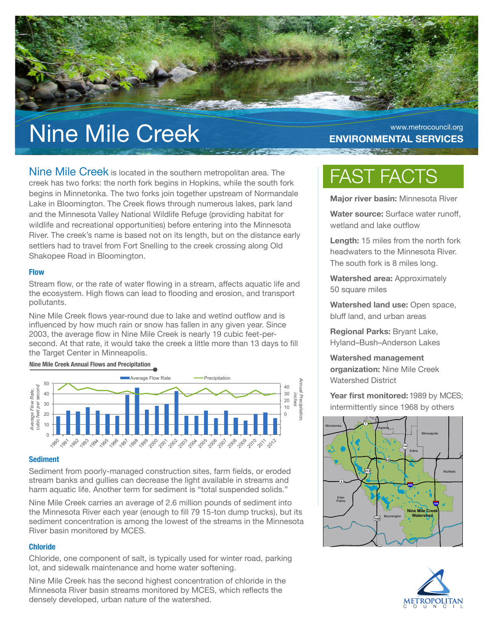# Nine Mile Creek Environmental SERVICES

# **ENVIRONMENTAL SERVICES**

Nine Mile Creek is located in the southern metropolitan area. The creek has two forks: the north fork begins in Hopkins, while the south fork begins in Minnetonka. The two forks join together upstream of Normandale Lake in Bloomington. The Creek flows through numerous lakes, park land and the Minnesota Valley National Wildlife Refuge (providing habitat for wildlife and recreational opportunities) before entering into the Minnesota River. The creek's name is based not on its length, but on the distance early settlers had to travel from Fort Snelling to the creek crossing along Old Shakopee Road in Bloomington.

# **Flow**

Stream flow, or the rate of water flowing in a stream, affects aquatic life and the ecosystem. High flows can lead to flooding and erosion, and transport pollutants.

Nine Mile Creek flows year-round due to lake and wetlnd outflow and is influenced by how much rain or snow has fallen in any given year. Since 2003, the average flow in Nine Mile Creek is nearly 19 cubic feet-persecond. At that rate, it would take the creek a little more than 13 days to fill the Target Center in Minneapolis.

#### **Nine Mile Creek Annual Flows and Precipitation**



### **Sediment**

Sediment from poorly-managed construction sites, farm fields, or eroded stream banks and gullies can decrease the light available in streams and harm aquatic life. Another term for sediment is "total suspended solids."

Nine Mile Creek carries an average of 2.6 million pounds of sediment into the Minnesota River each year (enough to fill 79 15-ton dump trucks), but its sediment concentration is among the lowest of the streams in the Minnesota River basin monitored by MCES.

# **Chloride**

Chloride, one component of salt, is typically used for winter road, parking lot, and sidewalk maintenance and home water softening.

Nine Mile Creek has the second highest concentration of chloride in the Minnesota River basin streams monitored by MCES, which reflects the densely developed, urban nature of the watershed.

# FAST FACTS

**Major river basin:** Minnesota River

**Water source:** Surface water runoff, wetland and lake outflow

**Length:** 15 miles from the north fork headwaters to the Minnesota River. The south fork is 8 miles long.

**Watershed area:** Approximately 50 square miles

**Watershed land use:** Open space, bluff land, and urban areas

**Regional Parks:** Bryant Lake, Hyland–Bush–Anderson Lakes

**Watershed management organization:** Nine Mile Creek Watershed District

**Year first monitored:** 1989 by MCES; intermittently since 1968 by others